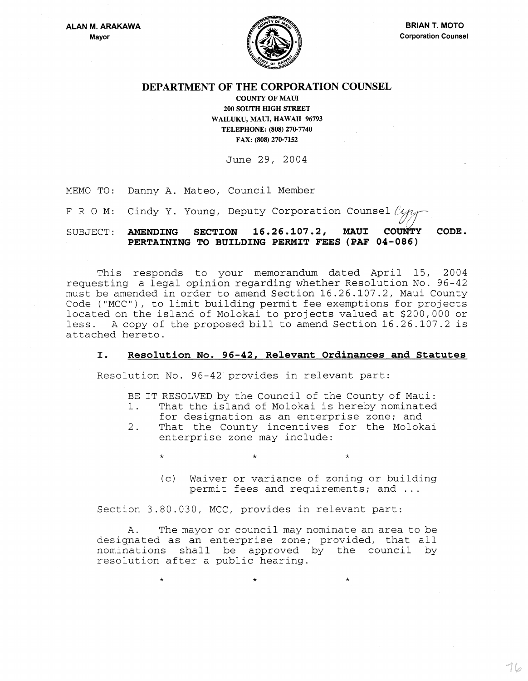

 $\begin{picture}(20,20) \put(0,0){\line(1,0){155}} \put(15,0){\line(1,0){155}} \put(15,0){\line(1,0){155}} \put(15,0){\line(1,0){155}} \put(15,0){\line(1,0){155}} \put(15,0){\line(1,0){155}} \put(15,0){\line(1,0){155}} \put(15,0){\line(1,0){155}} \put(15,0){\line(1,0){155}} \put(15,0){\line(1,0){155}} \put(15,0){\line(1,0){155}} \$ 

# DEPARTMENT OF THE CORPORATION COUNSEL

COUNTY OF MAUl 200 SOUTH mGH STREET WAILUKU, MAUl, HAWAII 96793 TELEPHONE: (808) 270-7740 FAX: (808) 270-7152

June 29, 2004

MEMO TO: Danny A. Mateo, Council Member

FRO M: Cindy Y. Young, Deputy Corporation Counsel  $\ell_{4}$ 

SUBJECT: AMENDING SECTION 16.26.107.2, MAUI CoUNfy CODE. PERTAINING TO BUILDING PERMIT FEES (PAF 04-086)

This responds to your memorandum dated April 15, 2004 requesting a legal opinion regarding whether Resolution No. 96-42 must be amended in order to amend Section 16.26.107.2, Maui County Code ("MCC"), to limit building permit fee exemptions for projects located on the island of Molokai to projects valued at \$200,000 or less. A copy of the proposed bill to amend Section 16.26.107.2 is attached hereto.

### I. Resolution No. 96-42, Relevant Ordinances and Statutes

Resolution No. 96-42 provides in relevant part:

- BE IT RESOLVED by the Council of the County of Maui:<br>1. That the island of Molokai is hereby nominated
- That the island of Molokai is hereby nominated
- for designation as an enterprise zone; and
- 2. That the County incentives for the Molokai enterprise zone may include:

 $\star$   $\star$   $\star$   $\star$ 

(c) Waiver or variance of zoning or building permit fees and requirements; and ...

Section 3.80.030, MCC, provides in relevant part:

 $\star$   $\star$   $\star$   $\star$ 

A. The mayor or council may nominate an area to be designated as an enterprise zone; provided, that all nominations shall be approved by the council by resolution after a public hearing.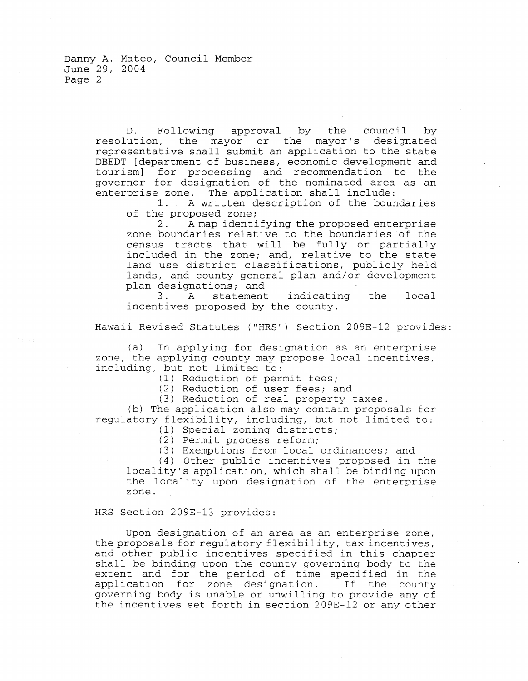Danny A. Mateo, Council Member June 29, 2004 Page 2

> D. Following approval by the council by resolution, the mayor or the mayor's designated representative shall submit an application to the state DBEDT [department of business, economic development and tourism] for processing and recommendation to the governor for designation of the nominated area as an enterprise zone. The application shall include:

A written description of the boundaries of the proposed zone;

2. A map identifying the proposed enterprise zone boundaries relative to the boundaries of the census tracts that will be fully or partially included in the zone; and, relative to the state land use district classifications, publicly held lands, and county general plan and/or development plan designations; and<br>3. A statement

indicating the local incentives proposed by the county.

Hawaii Revised Statutes ("HRS") Section 209E-12 provides:

(a) In applying for designation as an enterprise zone, the applying county may propose local incentives, including, but not limited to:

(1) Reduction of permit fees;

(2) Reduction of user fees; and

(3) Reduction of real property taxes.

(b) The application also may contain proposals for regulatory flexibility, including, but not limited to:

(1) Special zoning districts;

(2) Permit process reform;

(3) Exemptions from local ordinances; and

(4) Other public incentives proposed in the locality's application, which shall be binding upon the locality upon designation of the enterprise zone.

#### HRS Section 209E-13 provides:

Upon designation of an area as an enterprise zone, the proposals for regulatory flexibility, tax incentives, and other public incentives specified in this chapter shall be binding upon the county governing body to the extent and for the period of time specified in the application for zone designation. If the county governing body is unable or unwilling to provide any of the incentives set forth in section 209E-12 or any other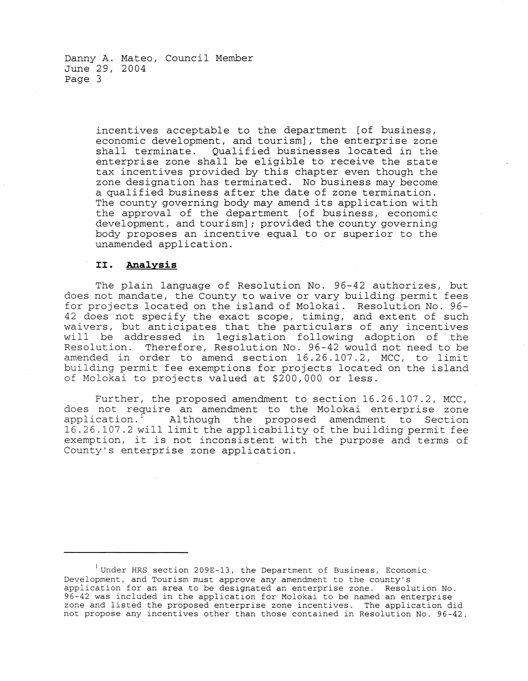Danny A. Mateo, Council Member June 29, 2004 Page 3

> incentives acceptable to the department [of business, economic development, and tourism], the enterprise zone shall terminate. Qualified businesses located in the enterprise zone shall be eligible to receive the state tax incentives provided by this chapter even though the zone designation has terminated. No business may become a qualified business after the date of zone termination. The county governing body may amend its application with the approval of the department [of business, economic development, and tourism] *i* provided the county governing body proposes an incentive equal to or superior to the unamended application.

#### II. Analysis

The plain language of Resolution No. 96-42 authorizes, but does not mandate, the County to waive or vary building permit fees for projects located on the island of Molokai. Resolution No. 96- 42 does not specify the exact scope, timing, and extent of such waivers, but anticipates that the particulars of any incentives will be addressed in legislation following adoption of the Resolution. Therefore, Resolution No. 96-42 would not need to be amended in order to amend section 16.26.107.2, MCC, to limit building permit fee exemptions for projects located on the island of Molokai to projects valued at \$200,000 or less.

Further, the proposed amendment to section 16.26.107.2, MCC, does not require an amendment to the Molokai enterprise zone<br>application.<sup>1</sup> Although the proposed amendment to Section Although the proposed amendment to Section 16.26.107.2 will limit the applicability of the building permit fee exemption, it is not inconsistent with the purpose and terms of County's enterprise zone application.

<sup>&#</sup>x27;Under HRS section 209E-13, the Department of Business, Economic Development, and Tourism must approve any amendment to the county's application for an area to be designated an enterprise zone. Resolution No. 96-42 was included in the application for Molokai to be named an enterprise zone and listed the proposed enterprise zone incentives. The application did not propose any incentives other than those contained in Resolution No. 96-42.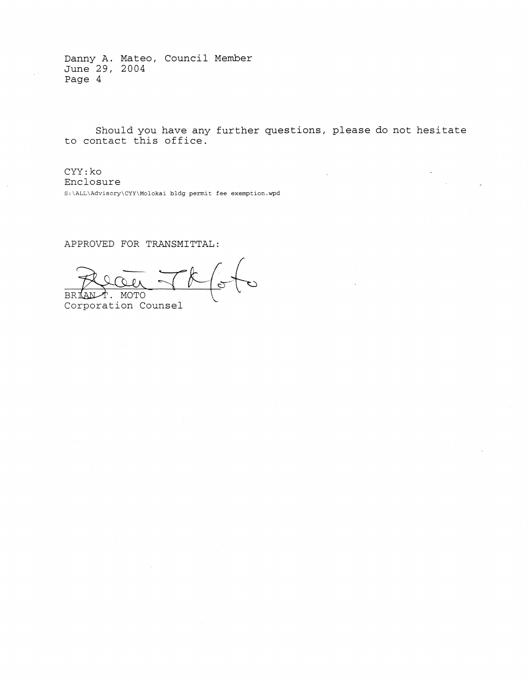Danny A. Mateo, Council Member June 29, 2004 Page 4

Should you have any further questions, please do not hesitate to contact this office.

CYY:ko Enclosure S:\ALL\Advisory\CYY\Molokai bldg permit fee exemption.wpd

APPROVED FOR TRANSMITTAL:

BRIANT. MOTO<br>Corporation Counsel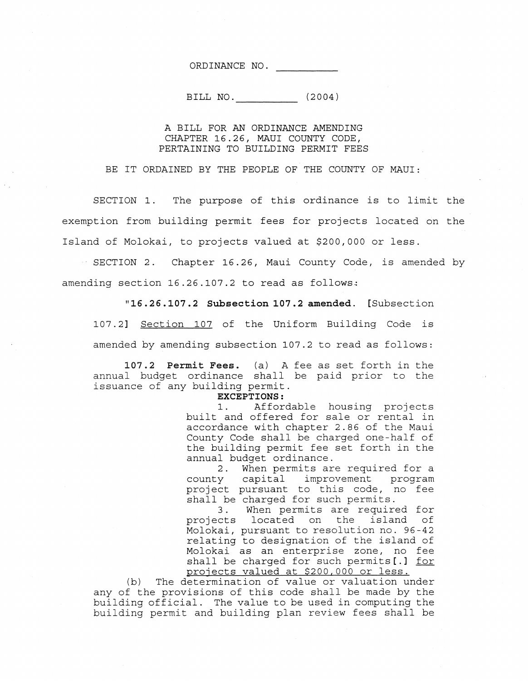ORDINANCE NO.

BILL NO. (2004)

## A BILL FOR AN ORDINANCE AMENDING CHAPTER 16.26, MAUl COUNTY CODE, PERTAINING TO BUILDING PERMIT FEES

BE IT ORDAINED BY THE PEOPLE OF THE COUNTY OF MAUl:

SECTION 1. The purpose of this ordinance is to limit the exemption from building permit fees for projects located on the Island of Molokai, to projects valued at \$200,000 or less.

SECTION 2. Chapter 16.26, Maui County Code, is amended by amending section  $16.26.107.2$  to read as follows:

**"16.26.107.2 Subsection 107.2 amended.** [Subsection

107.2] Section 107 of the Uniform Building Code is amended by amending subsection 107.2 to read as follows:

**107.2 Permit Fees.** (a) A fee as set forth in the annual budget ordinance shall be paid prior to the issuance of any building permit.

**EXCEPTIONS:** 

1. Affordable housing projects built and offered for sale or rental in accordance with chapter 2.86 of the Maui County Code shall be charged one-half of the building permit fee set forth in the annual budget ordinance.

2. When permits are required for a county capital improvement program project pursuant to this code, no fee shall be charged for such permits.

3. When permits are required for projects located on the island of Molokai, pursuant to resolution no. 96-42 relating to designation of the island of Molokai as an enterprise zone, no fee shall be charged for such permits[.] for projects valued at \$200,000 or less.

(b) The determination of value or valuation under any of the provisions of this code shall be made by the building official. The value to be used in computing the building permit and building plan review fees shall be